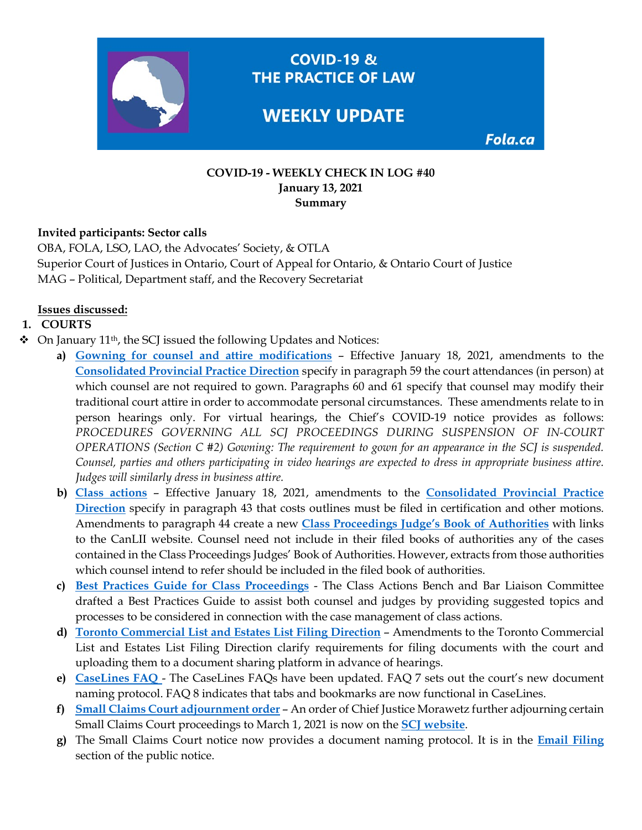

**COVID-19 &** THE PRACTICE OF LAW

# **WEEKLY UPDATE**

Fola.ca

#### **COVID-19 - WEEKLY CHECK IN LOG #40 January 13, 2021 Summary**

### **Invited participants: Sector calls**

OBA, FOLA, LSO, LAO, the Advocates' Society, & OTLA Superior Court of Justices in Ontario, Court of Appeal for Ontario, & Ontario Court of Justice MAG – Political, Department staff, and the Recovery Secretariat

### **Issues discussed:**

### **1. COURTS**

- $\triangleleft$  On January 11<sup>th</sup>, the SCJ issued the following Updates and Notices:
	- **a) [Gowning for counsel and attire modifications](https://www.ontariocourts.ca/scj/practice/practice-directions/provincial/)** Effective January 18, 2021, amendments to the **[Consolidated Provincial Practice Direction](https://www.ontariocourts.ca/scj/practice/practice-directions/provincial/)** specify in paragraph 59 the court attendances (in person) at which counsel are not required to gown. Paragraphs 60 and 61 specify that counsel may modify their traditional court attire in order to accommodate personal circumstances. These amendments relate to in person hearings only. For virtual hearings, the Chief's COVID-19 notice provides as follows: *PROCEDURES GOVERNING ALL SCJ PROCEEDINGS DURING SUSPENSION OF IN-COURT OPERATIONS (Section C #2) Gowning: The requirement to gown for an appearance in the SCJ is suspended. Counsel, parties and others participating in video hearings are expected to dress in appropriate business attire. Judges will similarly dress in business attire.*
	- **b) [Class actions](https://www.ontariocourts.ca/scj/practice/practice-directions/provincial/)** Effective January 18, 2021, amendments to the **[Consolidated Provincial Practice](https://www.ontariocourts.ca/scj/practice/practice-directions/provincial/)  [Direction](https://www.ontariocourts.ca/scj/practice/practice-directions/provincial/)** specify in paragraph 43 that costs outlines must be filed in certification and other motions. Amendments to paragraph 44 create a new **[Class Proceedings Judge's Book of Authorities](https://www.ontariocourts.ca/scj/civil/class-proceedings-judges-book-of-authorities/)** with links to the CanLII website. Counsel need not include in their filed books of authorities any of the cases contained in the Class Proceedings Judges' Book of Authorities. However, extracts from those authorities which counsel intend to refer should be included in the filed book of authorities.
	- **c) [Best Practices Guide for Class Proceedings](https://www.ontariocourts.ca/scj/civil/resources/guide-case-management-class-actions/)** The Class Actions Bench and Bar Liaison Committee drafted a Best Practices Guide to assist both counsel and judges by providing suggested topics and processes to be considered in connection with the case management of class actions.
	- **d) [Toronto Commercial List and Estates List Filing Direction](https://www.ontariocourts.ca/scj/notices-and-orders-covid-19/commercial-list-and-estates-list-filing-direction/)** Amendments to the Toronto Commercial List and Estates List Filing Direction clarify requirements for filing documents with the court and uploading them to a document sharing platform in advance of hearings.
	- **e) [CaseLines FAQ](https://www.ontariocourts.ca/scj/notices-and-orders-covid-19/supplementary-notice-september-2-2020/faq-caselines/)**  The CaseLines FAQs have been updated. FAQ 7 sets out the court's new document naming protocol. FAQ 8 indicates that tabs and bookmarks are now functional in CaseLines.
	- **f) [Small Claims Court adjournment order](https://www.ontariocourts.ca/scj/notices-and-orders-covid-19/continued-suspension-scc-operations/)** An order of Chief Justice Morawetz further adjourning certain Small Claims Court proceedings to March 1, 2021 is now on the **[SCJ website](https://www.ontariocourts.ca/scj/notices-and-orders-covid-19/continued-suspension-scc-operations/)**.
	- **g)** The Small Claims Court notice now provides a document naming protocol. It is in the **[Email Filing](https://www.ontariocourts.ca/scj/notices-and-orders-covid-19/suspension-small-claims-ops/#Email_Filing)**  section of the public notice.